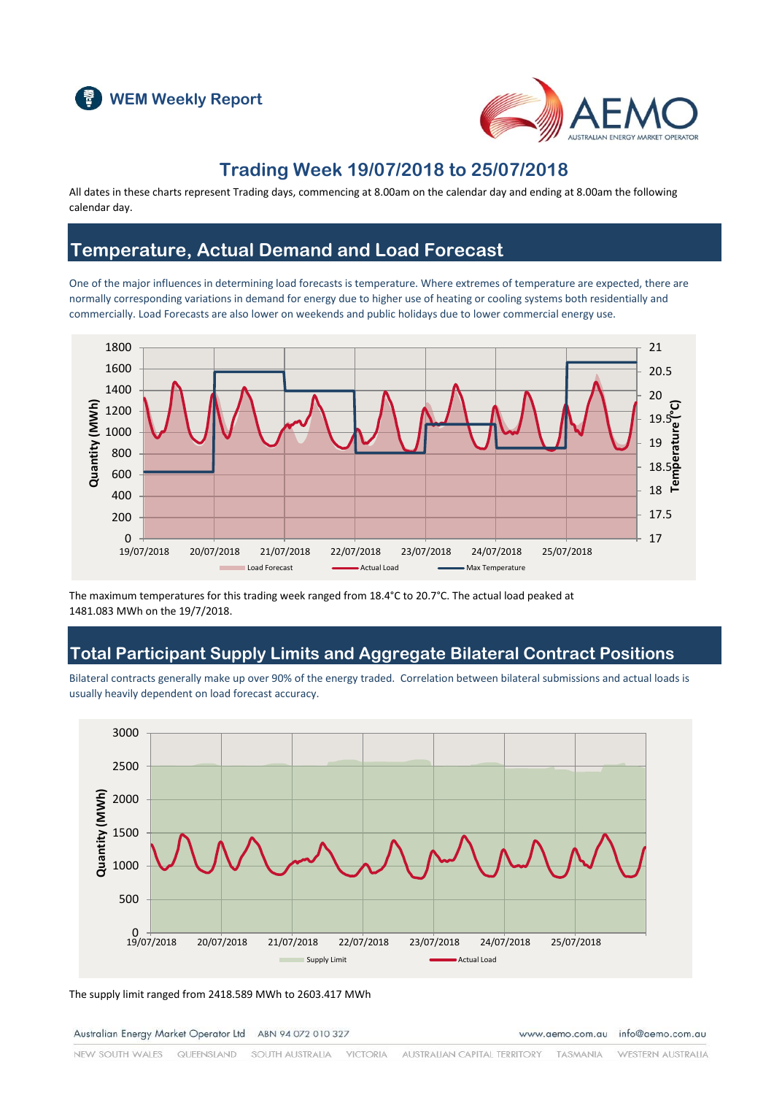



#### **Trading Week 19/07/2018 to 25/07/2018**

All dates in these charts represent Trading days, commencing at 8.00am on the calendar day and ending at 8.00am the following calendar day.

### **Temperature, Actual Demand and Load Forecast**

One of the major influences in determining load forecasts is temperature. Where extremes of temperature are expected, there are normally corresponding variations in demand for energy due to higher use of heating or cooling systems both residentially and commercially. Load Forecasts are also lower on weekends and public holidays due to lower commercial energy use.



The maximum temperatures for this trading week ranged from 18.4°C to 20.7°C. The actual load peaked at 1481.083 MWh on the 19/7/2018.

### **Total Participant Supply Limits and Aggregate Bilateral Contract Positions**

Bilateral contracts generally make up over 90% of the energy traded. Correlation between bilateral submissions and actual loads is usually heavily dependent on load forecast accuracy.



The supply limit ranged from 2418.589 MWh to 2603.417 MWh

Australian Energy Market Operator Ltd ABN 94 072 010 327

www.aemo.com.au info@aemo.com.au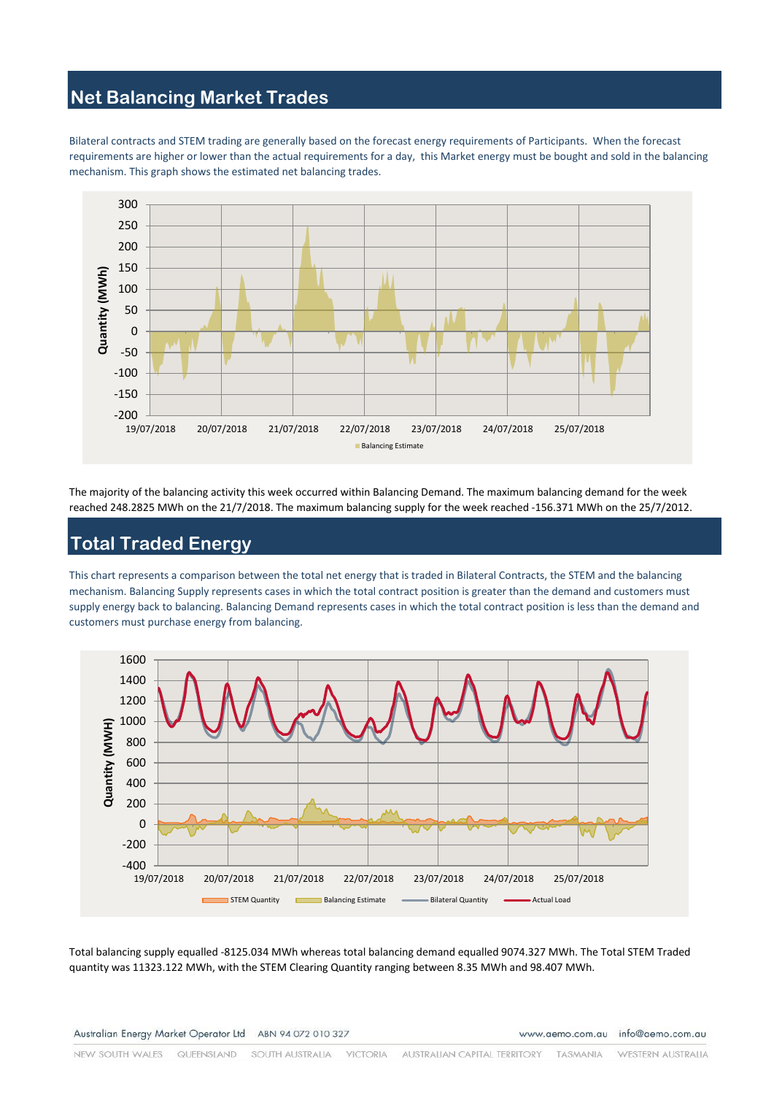## **Net Balancing Market Trades**

Bilateral contracts and STEM trading are generally based on the forecast energy requirements of Participants. When the forecast requirements are higher or lower than the actual requirements for a day, this Market energy must be bought and sold in the balancing mechanism. This graph shows the estimated net balancing trades.



The majority of the balancing activity this week occurred within Balancing Demand. The maximum balancing demand for the week reached 248.2825 MWh on the 21/7/2018. The maximum balancing supply for the week reached -156.371 MWh on the 25/7/2012.

# **Total Traded Energy**

This chart represents a comparison between the total net energy that is traded in Bilateral Contracts, the STEM and the balancing mechanism. Balancing Supply represents cases in which the total contract position is greater than the demand and customers must supply energy back to balancing. Balancing Demand represents cases in which the total contract position is less than the demand and customers must purchase energy from balancing.



Total balancing supply equalled -8125.034 MWh whereas total balancing demand equalled 9074.327 MWh. The Total STEM Traded quantity was 11323.122 MWh, with the STEM Clearing Quantity ranging between 8.35 MWh and 98.407 MWh.

www.aemo.com.au info@aemo.com.au